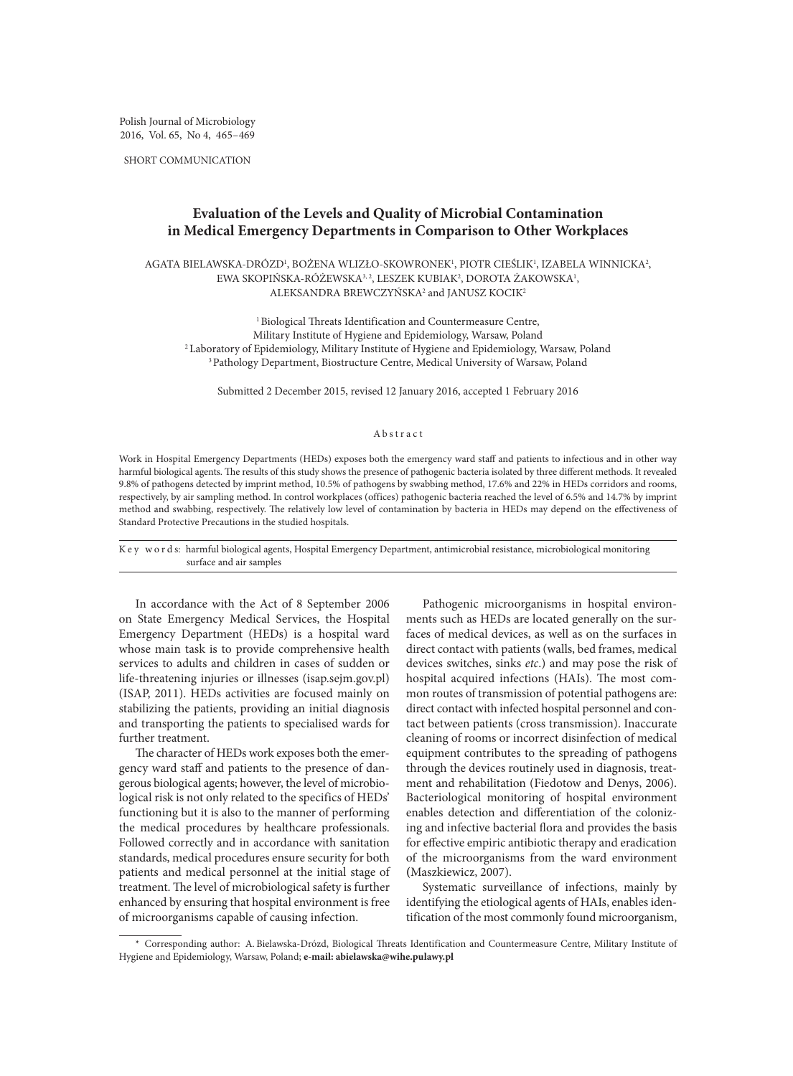Polish Journal of Microbiology 2016, Vol. 65, No 4, 465–469

SHORT COMMUNICATION

# **Evaluation of the Levels and Quality of Microbial Contamination in Medical Emergency Departments in Comparison to Other Workplaces**

AGATA BIELAWSKA-DROZD', BOZENA WLIZŁO-SKOWRONEK', PIOTR CIESLIK', IZABELA WINNICKA<sup>2</sup>, EWA SKOPIŃSKA-RÓŻEWSKA<sup>3, 2</sup>, LESZEK KUBIAK<sup>2</sup>, DOROTA ZAKOWSKA<sup>1</sup>,  $A$ LEKS $A$ NDR $A$  BREWCZYŃSK $A$ <sup>2</sup> and J $A$ NUSZ KOCIK<sup>2</sup>

<sup>1</sup> Biological Threats Identification and Countermeasure Centre, Military Institute of Hygiene and Epidemiology, Warsaw, Poland 2Laboratory of Epidemiology, Military Institute of Hygiene and Epidemiology, Warsaw, Poland <sup>3</sup> Pathology Department, Biostructure Centre, Medical University of Warsaw, Poland

Submitted 2 December 2015, revised 12 January 2016, accepted 1 February 2016

# Abstract

Work in Hospital Emergency Departments (HEDs) exposes both the emergency ward staff and patients to infectious and in other way harmful biological agents. The results of this study shows the presence of pathogenic bacteria isolated by three different methods. It revealed 9.8% of pathogens detected by imprint method, 10.5% of pathogens by swabbing method, 17.6% and 22% in HEDs corridors and rooms, respectively, by air sampling method. In control workplaces (offices) pathogenic bacteria reached the level of 6.5% and 14.7% by imprint method and swabbing, respectively. The relatively low level of contamination by bacteria in HEDs may depend on the effectiveness of Standard Protective Precautions in the studied hospitals.

K e y w o r d s: harmful biological agents, Hospital Emergency Department, antimicrobial resistance, microbiological monitoring surface and air samples

In accordance with the Act of 8 September 2006 on State Emergency Medical Services, the Hospital Emergency Department (HEDs) is a hospital ward whose main task is to provide comprehensive health services to adults and children in cases of sudden or life-threatening injuries or illnesses (isap.sejm.gov.pl) (ISAP, 2011). HEDs activities are focused mainly on stabilizing the patients, providing an initial diagnosis and transporting the patients to specialised wards for further treatment.

The character of HEDs work exposes both the emergency ward staff and patients to the presence of dangerous biological agents; however, the level of microbiological risk is not only related to the specifics of HEDs' functioning but it is also to the manner of performing the medical procedures by healthcare professionals. Followed correctly and in accordance with sanitation standards, medical procedures ensure security for both patients and medical personnel at the initial stage of treatment. The level of microbiological safety is further enhanced by ensuring that hospital environment is free of microorganisms capable of causing infection.

Pathogenic microorganisms in hospital environments such as HEDs are located generally on the surfaces of medical devices, as well as on the surfaces in direct contact with patients (walls, bed frames, medical devices switches, sinks *etc*.) and may pose the risk of hospital acquired infections (HAIs). The most common routes of transmission of potential pathogens are: direct contact with infected hospital personnel and contact between patients (cross transmission). Inaccurate cleaning of rooms or incorrect disinfection of medical equipment contributes to the spreading of pathogens through the devices routinely used in diagnosis, treatment and rehabilitation (Fiedotow and Denys, 2006). Bacteriological monitoring of hospital environment enables detection and differentiation of the colonizing and infective bacterial flora and provides the basis for effective empiric antibiotic therapy and eradication of the microorganisms from the ward environment **(**Maszkiewicz, 2007).

Systematic surveillance of infections, mainly by identifying the etiological agents of HAIs, enables identification of the most commonly found microorganism,

<sup>\*</sup> Corresponding author: A. Bielawska-Drózd, Biological Threats Identification and Countermeasure Centre, Military Institute of Hygiene and Epidemiology, Warsaw, Poland; **e-mail: abielawska@wihe.pulawy.pl**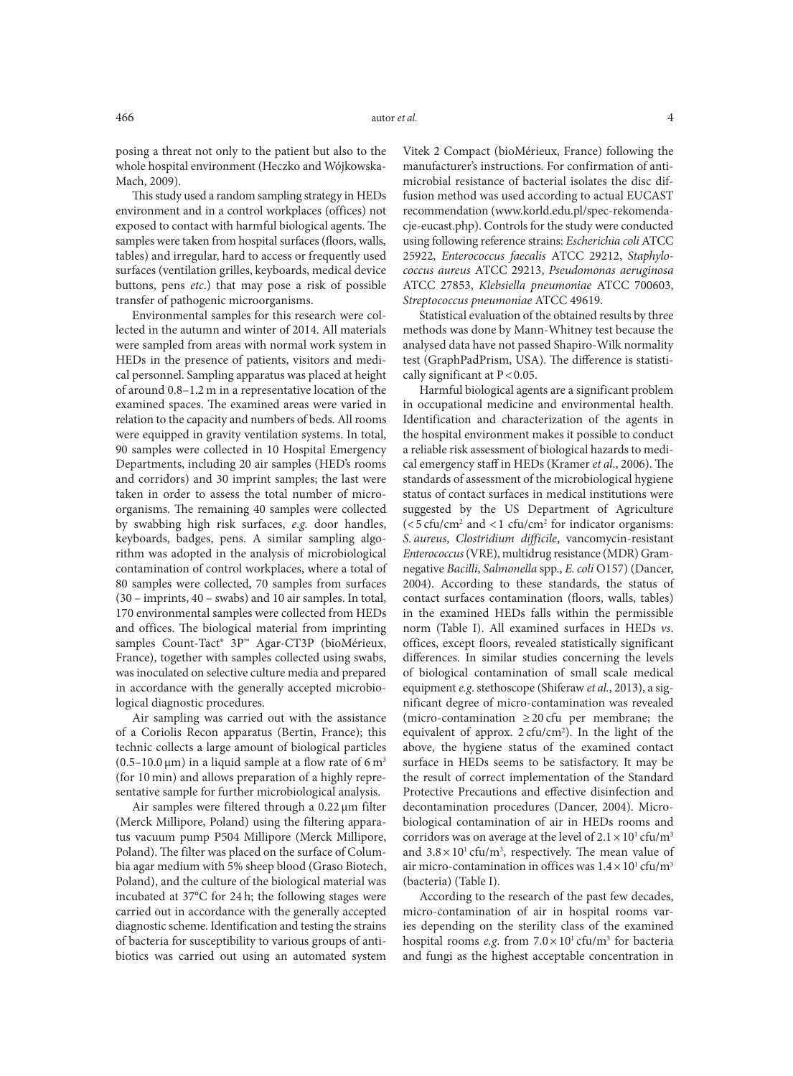posing a threat not only to the patient but also to the whole hospital environment (Heczko and Wójkowska-Mach, 2009).

This study used a random sampling strategy in HEDs environment and in a control workplaces (offices) not exposed to contact with harmful biological agents. The samples were taken from hospital surfaces (floors, walls, tables) and irregular, hard to access or frequently used surfaces (ventilation grilles, keyboards, medical device buttons, pens *etc*.) that may pose a risk of possible transfer of pathogenic microorganisms.

Environmental samples for this research were collected in the autumn and winter of 2014. All materials were sampled from areas with normal work system in HEDs in the presence of patients, visitors and medical personnel. Sampling apparatus was placed at height of around 0.8–1.2 m in a representative location of the examined spaces. The examined areas were varied in relation to the capacity and numbers of beds. All rooms were equipped in gravity ventilation systems. In total, 90 samples were collected in 10 Hospital Emergency Departments, including 20 air samples (HED's rooms and corridors) and 30 imprint samples; the last were taken in order to assess the total number of microorganisms. The remaining 40 samples were collected by swabbing high risk surfaces, *e.g.* door handles, keyboards, badges, pens. A similar sampling algorithm was adopted in the analysis of microbiological contamination of control workplaces, where a total of 80 samples were collected, 70 samples from surfaces (30 – imprints, 40 – swabs) and 10 air samples. In total, 170 environmental samples were collected from HEDs and offices. The biological material from imprinting samples Count-Tact® 3P™ Agar-CT3P (bioMérieux, France), together with samples collected using swabs, was inoculated on selective culture media and prepared in accordance with the generally accepted microbiological diagnostic procedures.

Air sampling was carried out with the assistance of a Coriolis Recon apparatus (Bertin, France); this technic collects a large amount of biological particles  $(0.5-10.0 \,\text{\mu m})$  in a liquid sample at a flow rate of 6 m<sup>3</sup> (for 10 min) and allows preparation of a highly representative sample for further microbiological analysis.

Air samples were filtered through a 0.22  $\mu$ m filter (Merck Millipore, Poland) using the filtering apparatus vacuum pump P504 Millipore (Merck Millipore, Poland). The filter was placed on the surface of Columbia agar medium with 5% sheep blood (Graso Biotech, Poland), and the culture of the biological material was incubated at 37°C for 24 h; the following stages were carried out in accordance with the generally accepted diagnostic scheme. Identification and testing the strains of bacteria for susceptibility to various groups of antibiotics was carried out using an automated system

Vitek 2 Compact (bioMérieux, France) following the manufacturer's instructions. For confirmation of antimicrobial resistance of bacterial isolates the disc diffusion method was used according to actual EUCAST recommendation (www.korld.edu.pl/spec-rekomendacje-eucast.php). Controls for the study were conducted using following reference strains: *Escherichia coli* ATCC 25922, *Enterococcus faecalis* ATCC 29212, *Staphylococcus aureus* ATCC 29213, *Pseudomonas aeruginosa*  ATCC 27853, *Klebsiella pneumoniae* ATCC 700603, *Streptococcus pneumoniae* ATCC 49619.

Statistical evaluation of the obtained results by three methods was done by Mann-Whitney test because the analysed data have not passed Shapiro-Wilk normality test (GraphPadPrism, USA). The difference is statistically significant at  $P < 0.05$ .

Harmful biological agents are a significant problem in occupational medicine and environmental health. Identification and characterization of the agents in the hospital environment makes it possible to conduct a reliable risk assessment of biological hazards to medical emergency staff in HEDs (Kramer *et al*., 2006). The standards of assessment of the microbiological hygiene status of contact surfaces in medical institutions were suggested by the US Department of Agriculture  $\left($  < 5 cfu/cm<sup>2</sup> and <1 cfu/cm<sup>2</sup> for indicator organisms: *S. aureus*, *Clostridium difficile*, vancomycin-resistant *Enterococcus* (VRE), multidrug resistance (MDR) Gramnegative *Bacilli*, *Salmonella* spp., *E.coli* O157) (Dancer, 2004). According to these standards, the status of contact surfaces contamination (floors, walls, tables) in the examined HEDs falls within the permissible norm (Table I). All examined surfaces in HEDs *vs*. offices, except floors, revealed statistically significant differences. In similar studies concerning the levels of biological contamination of small scale medical equipment *e.g*. stethoscope (Shiferaw *et al.*, 2013), a significant degree of micro-contamination was revealed (micro-contamination ≥20 cfu per membrane; the equivalent of approx.  $2 \text{ cfu/cm}^2$ ). In the light of the above, the hygiene status of the examined contact surface in HEDs seems to be satisfactory. It may be the result of correct implementation of the Standard Protective Precautions and effective disinfection and decontamination procedures (Dancer, 2004). Microbiological contamination of air in HEDs rooms and corridors was on average at the level of  $2.1 \times 10^{1}$  cfu/m<sup>3</sup> and  $3.8 \times 10^{1}$  cfu/m<sup>3</sup>, respectively. The mean value of air micro-contamination in offices was  $1.4 \times 10^{1}$  cfu/m<sup>3</sup> (bacteria) (Table I).

According to the research of the past few decades, micro-contamination of air in hospital rooms varies depending on the sterility class of the examined hospital rooms *e.g.* from  $7.0 \times 10^{1}$  cfu/m<sup>3</sup> for bacteria and fungi as the highest acceptable concentration in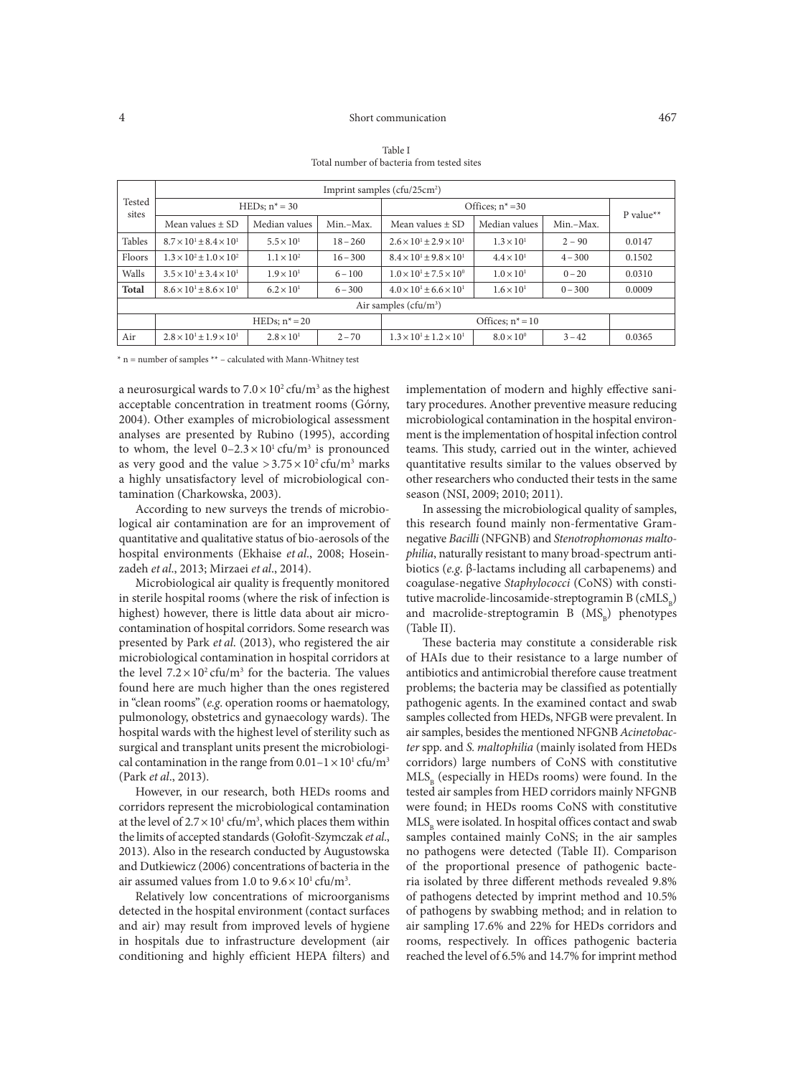## 4 Short communication 467

| Tested<br>sites         | Imprint samples $(cfu/25cm2)$             |                     |            |                                           |                     |           |           |
|-------------------------|-------------------------------------------|---------------------|------------|-------------------------------------------|---------------------|-----------|-----------|
|                         | HEDs; $n^* = 30$                          |                     |            | Offices; $n^* = 30$                       |                     |           | P value** |
|                         | Mean values $\pm$ SD                      | Median values       | Min.-Max.  | Mean values $\pm$ SD                      | Median values       | Min.-Max. |           |
| <b>Tables</b>           | $8.7 \times 10^{1} \pm 8.4 \times 10^{1}$ | $5.5 \times 10^{1}$ | $18 - 260$ | $2.6 \times 10^{1} \pm 2.9 \times 10^{1}$ | $1.3 \times 10^{1}$ | $2 - 90$  | 0.0147    |
| Floors                  | $1.3 \times 10^2 \pm 1.0 \times 10^2$     | $1.1 \times 10^{2}$ | $16 - 300$ | $8.4 \times 10^{1} \pm 9.8 \times 10^{1}$ | $4.4 \times 10^{1}$ | $4 - 300$ | 0.1502    |
| Walls                   | $3.5 \times 10^{1} \pm 3.4 \times 10^{1}$ | $1.9 \times 10^{1}$ | $6 - 100$  | $1.0 \times 10^{1} \pm 7.5 \times 10^{0}$ | $1.0 \times 10^{1}$ | $0 - 20$  | 0.0310    |
| <b>Total</b>            | $8.6 \times 10^{1} \pm 8.6 \times 10^{1}$ | $6.2 \times 10^{1}$ | $6 - 300$  | $4.0 \times 10^{1} \pm 6.6 \times 10^{1}$ | $1.6 \times 10^{1}$ | $0 - 300$ | 0.0009    |
| Air samples $(cfu/m^3)$ |                                           |                     |            |                                           |                     |           |           |
|                         | HEDs; $n^* = 20$                          |                     |            | Offices; $n^* = 10$                       |                     |           |           |
| Air                     | $2.8 \times 10^{1} \pm 1.9 \times 10^{1}$ | $2.8 \times 10^{1}$ | $2 - 70$   | $1.3 \times 10^{1} \pm 1.2 \times 10^{1}$ | $8.0 \times 10^{0}$ | $3 - 42$  | 0.0365    |

Table I Total number of bacteria from tested sites

 $*$  n = number of samples  $**$  – calculated with Mann-Whitney test

a neurosurgical wards to  $7.0 \times 10^2$  cfu/m<sup>3</sup> as the highest acceptable concentration in treatment rooms (Górny, 2004). Other examples of microbiological assessment analyses are presented by Rubino (1995), according to whom, the level  $0-2.3 \times 10^{1}$  cfu/m<sup>3</sup> is pronounced as very good and the value  $>3.75\times10^2$  cfu/m<sup>3</sup> marks a highly unsatisfactory level of microbiological contamination (Charkowska, 2003).

According to new surveys the trends of microbiological air contamination are for an improvement of quantitative and qualitative status of bio-aerosols of the hospital environments (Ekhaise *et al*., 2008; Hoseinzadeh *et al*., 2013; Mirzaei *et al*., 2014).

Microbiological air quality is frequently monitored in sterile hospital rooms (where the risk of infection is highest) however, there is little data about air microcontamination of hospital corridors. Some research was presented by Park *et al*. (2013), who registered the air microbiological contamination in hospital corridors at the level  $7.2 \times 10^2$  cfu/m<sup>3</sup> for the bacteria. The values found here are much higher than the ones registered in "clean rooms" (*e.g*. operation rooms or haematology, pulmonology, obstetrics and gynaecology wards). The hospital wards with the highest level of sterility such as surgical and transplant units present the microbiological contamination in the range from  $0.01-1 \times 10^{1}$  cfu/m<sup>3</sup> (Park *et al*., 2013).

However, in our research, both HEDs rooms and corridors represent the microbiological contamination at the level of  $2.7 \times 10^{1}$  cfu/m<sup>3</sup>, which places them within the limits of accepted standards (Gołofit-Szymczak *et al*., 2013). Also in the research conducted by Augustowska and Dutkiewicz (2006) concentrations of bacteria in the air assumed values from 1.0 to  $9.6 \times 10^{1}$  cfu/m<sup>3</sup>.

Relatively low concentrations of microorganisms detected in the hospital environment (contact surfaces and air) may result from improved levels of hygiene in hospitals due to infrastructure development (air conditioning and highly efficient HEPA filters) and

implementation of modern and highly effective sanitary procedures. Another preventive measure reducing microbiological contamination in the hospital environment is the implementation of hospital infection control teams. This study, carried out in the winter, achieved quantitative results similar to the values observed by other researchers who conducted their tests in the same season (NSI, 2009; 2010; 2011).

In assessing the microbiological quality of samples, this research found mainly non-fermentative Gramnegative *Bacilli* (NFGNB) and *Stenotrophomonas maltophilia*, naturally resistant to many broad-spectrum antibiotics (*e.g*. β-lactams including all carbapenems) and coagulase-negative *Staphylococci* (CoNS) with constitutive macrolide-lincosamide-streptogramin B  $(cMLS<sub>p</sub>)$ and macrolide-streptogramin B  $(MS_p)$  phenotypes (Table II).

These bacteria may constitute a considerable risk of HAIs due to their resistance to a large number of antibiotics and antimicrobial therefore cause treatment problems; the bacteria may be classified as potentially pathogenic agents. In the examined contact and swab samples collected from HEDs, NFGB were prevalent. In air samples, besides the mentioned NFGNB *Acinetobacter* spp. and *S. maltophilia* (mainly isolated from HEDs corridors) large numbers of CoNS with constitutive  $MLS<sub>n</sub>$  (especially in HEDs rooms) were found. In the tested air samples from HED corridors mainly NFGNB were found; in HEDs rooms CoNS with constitutive MLS<sub>p</sub> were isolated. In hospital offices contact and swab samples contained mainly CoNS; in the air samples no pathogens were detected (Table II). Comparison of the proportional presence of pathogenic bacteria isolated by three different methods revealed 9.8% of pathogens detected by imprint method and 10.5% of pathogens by swabbing method; and in relation to air sampling 17.6% and 22% for HEDs corridors and rooms, respectively. In offices pathogenic bacteria reached the level of 6.5% and 14.7% for imprint method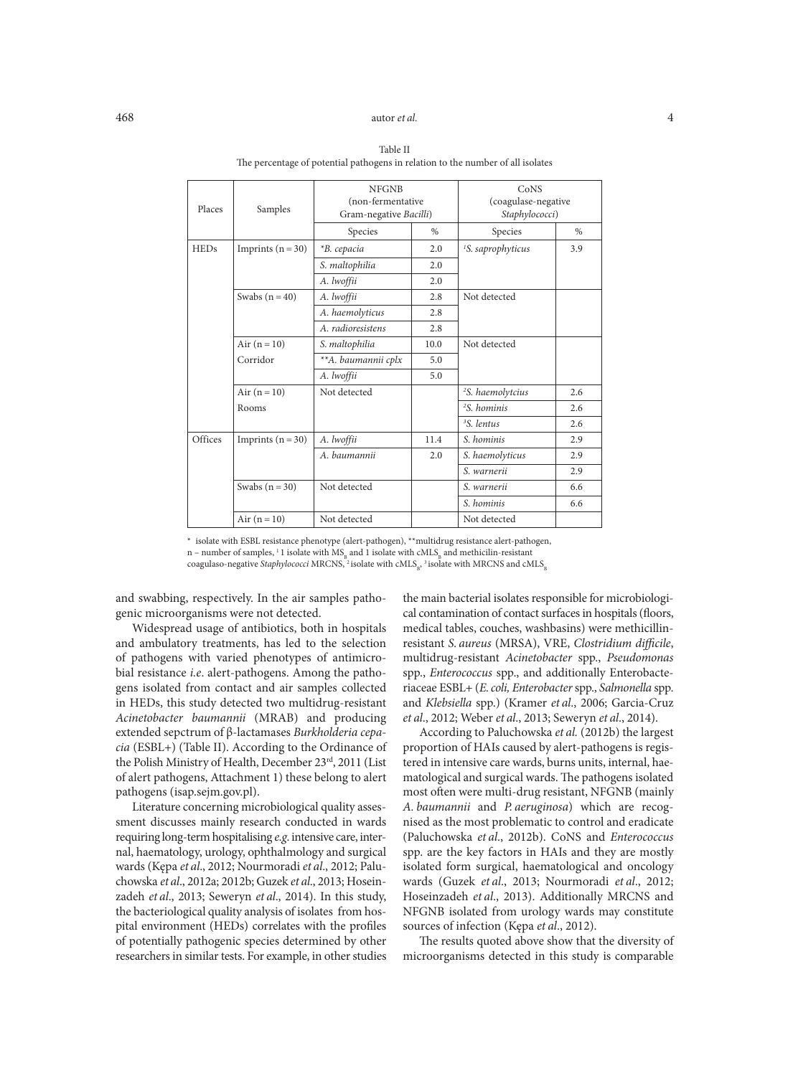# 468 autor *et al.* 4

## HEDs | Imprints (n = 30) |  $*B. cepacia$  | 2.0 <sup>1</sup>S. saprophyticus 13.9 *S. maltophilia* 2.0 *A. lwoffii* 2.0 Swabs (n = 40) | A. *lwoffii* | 2.8 | Not detected *A. haemolyticus* 2.8 *A. radioresistens* 2.8 Air (n = 10) <br>*S. maltophilia* 10.0 Not detected Corridor *\*\*A. baumannii cplx* 5.0 *A. lwoffii* 5.0 Air  $(n = 10)$  Not detected <sup>2</sup>S. haemolytcius 2.6 Rooms **2** *S. hominis* 2.6 *<sup>3</sup> S. lentus* 2.6 Offices Imprints (n = 30) *A. lwoffii* 11.4 *S. hominis* 2.9 *A. baumannii* 2.0 *S. haemolyticus* 2.9 *S. warnerii* 2.9 Swabs (n = 30) Not detected <br>
S. warnerii 6.6 *S. hominis* 6.6 Air  $(n = 10)$  Not detected Not detected Places | Samples NFGNB (non-fermentative Gram-negative *Bacilli*) CoNS (coagulase-negative *Staphylococci*) Species | % | Species | %

Table II The percentage of potential pathogens in relation to the number of all isolates

\* isolate with ESBL resistance phenotype (alert-pathogen), \*\*multidrug resistance alert-pathogen,

n – number of samples, <sup>1</sup> 1 isolate with  $MS<sub>B</sub>$  and 1 isolate with cMLS<sub>B</sub> and methicilin-resistant

coagulaso-negative *Staphylococci* MRCNS, <sup>2</sup> isolate with cMLS<sub>B</sub>, <sup>3</sup> isolate with MRCNS and cMLS<sub>E</sub>

and swabbing, respectively. In the air samples pathogenic microorganisms were not detected.

Widespread usage of antibiotics, both in hospitals and ambulatory treatments, has led to the selection of pathogens with varied phenotypes of antimicrobial resistance *i.e*. alert-pathogens. Among the pathogens isolated from contact and air samples collected in HEDs, this study detected two multidrug-resistant *Acinetobacter baumannii* (MRAB) and producing extended sepctrum of β-lactamases *Burkholderia cepacia* (ESBL+) (Table II). According to the Ordinance of the Polish Ministry of Health, December 23rd, 2011 (List of alert pathogens, Attachment 1) these belong to alert pathogens (isap.sejm.gov.pl).

Literature concerning microbiological quality assessment discusses mainly research conducted in wards requiring long-term hospitalising *e.g*. intensive care, internal, haematology, urology, ophthalmology and surgical wards (Kępa *et al*., 2012; Nourmoradi *et al*., 2012; Paluchowska *et al*., 2012a; 2012b; Guzek *et al*., 2013; Hoseinzadeh *et al*., 2013; Seweryn *et al*., 2014). In this study, the bacteriological quality analysis of isolates from hospital environment (HEDs) correlates with the profiles of potentially pathogenic species determined by other researchers in similar tests. For example, in other studies the main bacterial isolates responsible for microbiological contamination of contact surfaces in hospitals (floors, medical tables, couches, washbasins) were methicillinresistant *S. aureus* (MRSA), VRE, *Clostridium difficile*, multidrug-resistant *Acinetobacter* spp., *Pseudomonas* spp., *Enterococcus* spp., and additionally Enterobacteriaceae ESBL+ (*E.coli, Enterobacter* spp., *Salmonella* spp. and *Klebsiella* spp.) (Kramer *et al*., 2006; Garcia-Cruz *et al*., 2012; Weber *et al*., 2013; Seweryn *et al*., 2014).

According to Paluchowska *et al.* (2012b) the largest proportion of HAIs caused by alert-pathogens is registered in intensive care wards, burns units, internal, haematological and surgical wards. The pathogens isolated most often were multi-drug resistant, NFGNB (mainly *A. baumannii* and *P. aeruginosa*) which are recognised as the most problematic to control and eradicate (Paluchowska *et al*., 2012b). CoNS and *Enterococcus*  spp. are the key factors in HAIs and they are mostly isolated form surgical, haematological and oncology wards (Guzek *et al*., 2013; Nourmoradi *et al*., 2012; Hoseinzadeh *et al*., 2013). Additionally MRCNS and NFGNB isolated from urology wards may constitute sources of infection (Kępa *et al*., 2012).

The results quoted above show that the diversity of microorganisms detected in this study is comparable